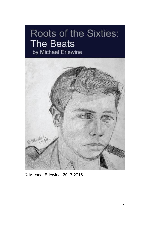# **Roots of the Sixties: The Beats** by Michael Erlewine



© Michael Erlewine, 2013-2015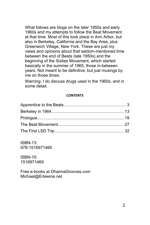What follows are blogs on the later 1950s and early 1960s and my attempts to follow the Beat Movement at that time. Most of this took place in Ann Arbor, but also in Berkeley, California and the Bay Area, plus Greenwich Village, New York. These are just my views and opinions about that seldom-mentioned time between the end of Beats (late 1950s) and the beginning of the Sixties Movement, which started basically in the summer of 1965, those in-between years. Not meant to be definitive, but just musings by me on those times.

Warning: I do discuss drugs used in the 1960s, and in some detail.

#### **CONTENTS**

ISBN-13: 978-1516971466

ISBN-10: 1516971469

Free e-books at DharmaGrooves.com Michael@Erlewine.net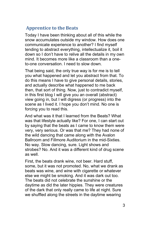## <span id="page-2-0"></span>**Apprentice to the Beats**

Today I have been thinking about all of this while the snow accumulates outside my window. How does one communicate experience to another? I find myself tending to abstract everything, intellectualize it, boil it down so I don't have to relive all the details in my own mind. It becomes more like a classroom than a oneto-one conversation. I need to slow down.

That being said, the only true way is for me is to tell you what happened and let you abstract from that. To do this means I have to give personal details, stories, and actually describe what happened to me back then, that sort of thing. Now, just to contradict myself, in this first blog I will give you an overall (abstract) view going in, but I will digress (or progress) into the scene as I lived it. I hope you don't mind. No one is forcing you to read this.

And what was it that I learned from the Beats? What was that lifestyle actually like? For one, I can start out by saying that the beats as I came to know them were very, very serious. Or was that me? They had none of the wild dancing that came along with the Avalon Ballroom and Fillmore Auditorium in the mid-Sixties. No way. Slow dancing, sure. Light shows and strobes? No. And it was a different kind of drug scene as well.

First, the beats drank wine, not beer. Hard stuff, some, but it was not promoted. No, what we drank as beats was wine, and wine with cigarette or whatever else we might be smoking. And it was dark out too. The beats did not celebrate the sunshine or the daytime as did the later hippies. They were creatures of the dark that only really came to life at night. Sure we shuffled along the streets in the daytime wearing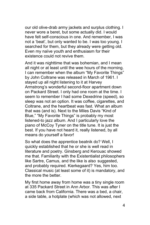our old olive-drab army jackets and surplus clothing. I never wore a beret, but some actually did. I would have felt self-conscious in one. And remember, I was not a 'beat', but only wanted to be. I was too young. I searched for them, but they already were getting old. Even my naïve youth and enthusiasm for their existence could not revive them.

And it was nighttime that was bohemian, and I mean all night or at least until the wee hours of the morning. I can remember when the album "My Favorite Things" by John Coltrane was released in March of 1961. I stayed up all night listening to it at Harvey Armstrong's wonderful second-floor apartment down on Packard Street. I only had one room at the time. I seem to remember I had some Dexedrine (speed), so sleep was not an option. It was coffee, cigarettes, and Coltrane, and the heartbeat was fast. What an album that was (and is). Next to the Miles Davis "Kind of Blue," "My Favorite Things" is probably my most listened-to jazz album. And I particularly love the piano of McCoy Tyner on the title tune. It is just the best. If you have not heard it, really listened, by all means do yourself a favor!

So what does the apprentice beatnik do? Well, I quickly established that he or she is well read in literature and poetry. Ginsberg and Kerouac showed me that. Familiarity with the Existentialist philosophers like Sartre, Camus, and the like is also suggested, and probably required. Kierkegaard? Yes, him too. Classical music (at least some of it) is mandatory, and the more the better.

My first home away from home was a tiny single room at 335 Packard Street in Ann Arbor. This was after I came back from California. There was a bed, a chair, a side table, a hotplate (which was not allowed, next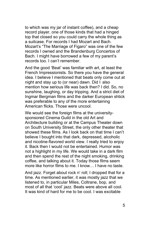to which was my jar of instant coffee), and a cheap record player, one of those kinds that had a hinged top that closed so you could carry the whole thing as a suitcase. For records I had Mozart and Bach. Mozart's "The Marriage of Figaro" was one of the few records I owned and the Brandenburg Concertos of Bach. I might have borrowed a few of my parent's records too. I can't remember.

And the good 'Beat' was familiar with art, at least the French Impressionists. So there you have the general idea. I believe I mentioned that beats only come out at night and stay up to (or near) dawn. Did I also mention how serious life was back then? I did. So, no sunshine, laughing, or day tripping. And a strict diet of Ingmar Bergman films and the darker European shtick was preferable to any of the more entertaining American flicks. Those were uncool.

We would see the foreign films at the universitysponsored Cinema Guild in the old Art and Architecture building or at the Campus Theater down on South University Street, the only other theater that showed these films. As I look back on that time I can't believe I bought into that dark, depressed, alcoholic and nicotine-flavored world view. I really tried to enjoy it. Back then I would not be entertained. Humor was not a highlight in my life. We would take in a dark film and then spend the rest of the night smoking, drinking coffee, and talking about it. Today those films seem more like horror films to me. I know… I have no taste.

And jazz. Forget about rock n' roll; I dropped that for a time. As mentioned earlier, it was mostly jazz that we listened to, in particular Miles, Coltrane, bop, and most of all that 'cool' jazz. Beats were above all cool. It was kind of hard for me to be cool. I was excitable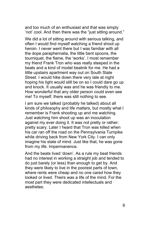and too much of an enthusiast and that was simply 'not' cool. And then there was the "just sitting around."

We did a lot of sitting around with serious talking, and often I would find myself watching a friend shoot up heroin. I never went there but I was familiar with all the dope paraphernalia, the little bent spoons, the tourniquet, the flame, the 'works'. I most remember my friend Frank Tron who was really steeped in the beats and a kind of model beatnik for me. He had a little upstairs apartment way out on South State Street. I would hike down there very late at night hoping his light would still be on so I could dare go up and knock. It usually was and he was friendly to me. How wonderful that any older person could even see me! To myself, there was still nothing to see.

I am sure we talked (probably he talked) about all kinds of philosophy and life matters, but mostly what I remember is Frank shooting up and me watching. Just watching him shoot up was an inoculation against my ever doing it. It was not pretty or rather: pretty scary. Later I heard that Tron was killed when his car ran off the road on the Pennsylvania Turnpike while driving back from New York City. I can only imagine his state of mind. Just like that, he was gone from my life. Impermanence.

And the beats lived 'down'. As a rule my beat friends had no interest in working a straight job and tended to do just barely (or less) than enough to get by. And they were likely to live in the poorest parts of town, where rents were cheap and no one cared how they looked or lived. Theirs was a life of the mind. For the most part they were dedicated intellectuals and aesthetes.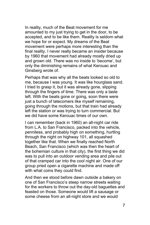In reality, much of the Beat movement for me amounted to my just trying to get in the door, to be accepted, and to be like them. Reality is seldom what we hope for or expect. My dreams of the Beat movement were perhaps more interesting than the final reality. I never really became an insider because by 1960 that movement had already mostly dried up and grown old. There was no inside to 'become', but only the diminishing remains of what Kerouac and Ginsberg wrote of.

Perhaps that was why all the beats looked so old to me, because I was young. It was like hourglass sand. I tried to grasp it, but it was already gone, slipping through the fingers of time. There was only a taste left. With the beats gone or going, soon there were just a bunch of latecomers like myself remaining, going through the motions, but that train had already left the station or was trying to turn commercial. But we did have some Kerouac times of our own.

I can remember (back in 1960) an all-night car ride from L.A. to San Francisco, packed into the vehicle, penniless, and probably high on something, hurtling through the night on highway 101, all squashed together like that. When we finally reached North Beach, San Francisco (which was then the heart of the bohemian culture in that city), the first thing we did was to pull into an outdoor vending area and pile out of that cramped car into the cool night air. One of our group pried open a cigarette machine and made off with what coins they could find.

And then we stood before dawn outside a bakery on one of San Francisco's steep narrow streets waiting for the workers to throw out the day-old baguettes and feasted on those. Someone would lift a sausage or some cheese from an all-night store and we would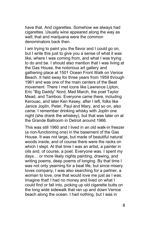have that. And cigarettes. Somehow we always had cigarettes. Usually wine appeared along the way as well; that and marijuana were the common denominators back then.

I am trying to paint you the flavor and I could go on, but I write this just to give you a sense of what it was like, where I was coming from, and what I was trying to do and be. I should also mention that I was living at the Gas House, the notorious art gallery and gathering place at 1501 Ocean Front Walk on Venice Beach. It held sway for three years from 1959 through 1961 and was one of the main centers of the Beat movement. There I met icons like Lawrence Lipton, Eric "Big Daddy" Nord, Mad March, the poet Taylor Mead, and Tamboo. Everyone came there, including Kerouac, and later Ken Kesey, after I left, folks like Janice Joplin, Peter, Paul and Mary, and so on, also came. I remember drinking whisky with Joplin one night (she drank the whiskey), but that was later on at the Grande Ballroom in Detroit around 1966.

This was still 1960 and I lived in an old walk-in freezer (a non-functioning one) in the basement of the Gas House. It was not large, but made of beautiful natural woods inside, and of course there were the racks on which I slept. At that time I was an artist, a painter in oils and, of course, a poet. Everyone was. I spent my days… or more likely nights painting, drawing, and writing poems, deep poems of longing. By that time I was not only yearning for a beat life, but since misery loves company, I was also searching for a partner, a woman to love, one that would love me just as I was. Imagine that! I had no money and lived on what I could find or fall into, picking up old cigarette butts on the long wide sidewalk that ran up and down Venice beach along the ocean. I had nothing, but I was in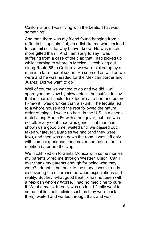California and I was living with the beats. That was something!

And then there was my friend found hanging from a rafter in his upstairs flat, an artist like me who decided to commit suicide, why I never knew. He was much more gifted than I. And I am sorry to say I was suffering from a case of the clap that I had picked up while learning to whore in Mexico. Hitchhiking out along Route 66 to California we were picked up by a man in a late- model sedan. He seemed as wild as we were and he was headed for the Mexican border and Juarez. Did we want to go?

Well of course we wanted to go and we did. I will spare you the blow by blow details, but suffice to say that in Juarez I could drink tequila at a bar, and before I knew it I was drunker than a skunk. The tequila led to a whore house and the rest followed the natural order of things. I woke up back in the U.S. in a cheap motel along Route 66 with a hangover, but that was not all. Every cent I had was gone. That man had shown us a good time, waited until we passed out, taken whatever valuables we had (and they were few), and then was on down the road. I was left only with some experience I had never had before, not to mention (later on) the clap.

We hitchhiked on to Santa Monica with some monies my parents wired me through Western Union. Can I ever thank my parents enough for being who they were? I doubt it, but back to the story. I was already discovering the difference between expectations and reality. But hey, what good beatnik has not been with a Mexican whore? Worse, I had no medicine to cure it. What a mess. It really was no fun. I finally went to some public health clinic (such as they were back then), waited and waded through that, and was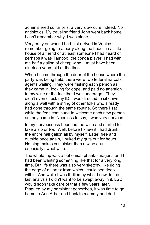administered sulfur pills, a very slow cure indeed. No antibiotics. My traveling friend John went back home; I can't remember why. I was alone.

Very early on when I had first arrived in Venice I remember going to a party along the beach in a little house of a friend or at least someone I had heard of, perhaps it was Tamboo, the conga player. I had with me half a gallon of cheap wine. I must have been nineteen years old at the time.

When I came through the door of the house where the party was being held, there were two federal narcotic agents waiting. They were frisking each person as they came in, looking for dope, and paid no attention to my wine or the fact that I was underage. They didn't even check my ID. I was directed to sit down along a wall with a string of other folks who already had gone through the same routine. So there I sat while the feds continued to welcome each new person as they came in. Needless to say, I was very nervous.

In my nervousness I opened the wine and started to take a sip or two. Well, before I knew it I had drunk the entire half gallon all by myself. Later, free and outside once again, I puked my guts out for hours. Nothing makes you sicker than a wine drunk, especially sweet wine.

The whole trip was a bohemian phantasmagoria and I had been wanting something like that for a very long time. But life there was also very sketchy, like riding the edge of a vortex from which I could see deep within. And while I was thrilled by what I saw, in the last analysis I didn't want to be swept away in it. LSD would soon take care of that a few years later. Plagued by my persistent gonorrhea, it was time to go home to Ann Arbor and back to mommy and dad.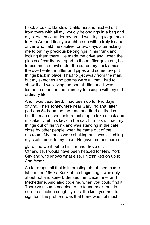I took a bus to Barstow, California and hitched out from there with all my worldly belongings in a bag and my sketchbook under my arm. I was trying to get back to Ann Arbor. I finally caught a ride with a truly insane driver who held me captive for two days after asking me to put my precious belongings in his trunk and locking them there. He made me drive and, when the pieces of cardboard taped to the muffler gave out, he forced me to crawl under the car on my back amidst the overheated muffler and pipes and somehow put things back in place. I had to get away from the man, but my sketches and poems were all that I had to show that I was living the beatnik life, and I was loathe to abandon them simply to escape with my old ordinary life.

And I was dead tired. I had been up for two days driving. Then somewhere near Gary Indiana, after perhaps 54 hours on the road and tired as tired can be, the man dashed into a rest stop to take a leak and mistakenly left his keys in the car. In a flash, I had my things out of his trunk and was standing in the café close by other people when he came out of the restroom. My hands were shaking but I was clutching my sketchbook to my heart. He gave me one fierce

glare and went out to his car and drove off. Otherwise, I would have been headed for New York City and who knows what else. I hitchhiked on up to Ann Arbor.

As for drugs, all that is interesting about them came later in the 1960s. Back at the beginning it was only about pot and speed: Benzedrine, Dexedrine, and Methedrine. And also codeine, when you could find it. There was some codeine to be found back then in non-prescription cough syrups, the kind you had to sign for. The problem was that there was not much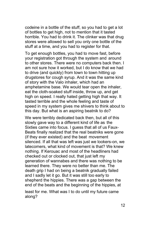codeine in a bottle of the stuff, so you had to get a lot of bottles to get high, not to mention that it tasted horrible. You had to drink it. The clinker was that drug stores were allowed to sell you only one bottle of the stuff at a time, and you had to register for that.

To get enough bottles, you had to move fast, before your registration got through the system and around to other stores. There were no computers back then. I am not sure how it worked, but I do know that we had to drive (and quickly) from town to town hitting up drugstores for cough syrup. And it was the same kind of story with the Valo inhaler, which had an amphetamine base. We would tear open the inhaler, eat the cloth-soaked stuff inside, throw up, and get high on speed. I really hated getting high that way. It tasted terrible and the whole feeling and taste of speed in my system gives me shivers to think about to this day. But what is an aspiring beatnik to do?

We were terribly dedicated back then, but all of this slowly gave way to a different kind of life as the Sixties came into focus. I guess that all of us Faux-Beats finally realized that the real beatniks were gone (if they ever existed) and the beat movement silenced. If all that was left was just we lookers-on, we latecomers, what kind of movement is that? We knew nothing. If Kerouac and most of the headliners had checked out or clocked out, that just left my generation of wannabes and there was nothing to be learned there. They were no better than me. The death grip I had on being a beatnik gradually failed and I sadly let it go. But it was still too early to shepherd the hippies. There was a gap between the end of the beats and the beginning of the hippies, at

least for me. What was I to do until my future came along?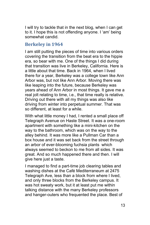I will try to tackle that in the next blog, when I can get to it. I hope this is not offending anyone. I 'am' being somewhat candid.

### <span id="page-12-0"></span>**Berkeley in 1964**

I am still putting the pieces of time into various orders covering the transition from the beat era to the hippie era, so bear with me. One of the things I did during that transition was live in Berkeley, California. Here is a little about that time. Back in 1964, when I lived there for a year, Berkeley was a college town like Ann Arbor was, but not like Ann Arbor. Moving there was like leaping into the future, because Berkeley was years ahead of Ann Arbor in most things. It gave me a real jolt relating to time, i.e., that time really is relative. Driving out there with all my things was also like driving from winter into perpetual summer. That was so different, at least for a while.

With what little money I had, I rented a small place off Telegraph Avenue on Haste Street. It was a one-room apartment with something like a mini-kitchen on the way to the bathroom, which was on the way to the alley behind. It was more like a Pullman Car than a box house and it was set back from the street through an arbor of ever-blooming fuchsia plants which always seemed to beckon to me from all sides. It was great. And so much happened there and then. I will give here just a taste.

I managed to find a part-time job clearing tables and washing dishes at the Café Mediterraneum at 2475 Telegraph Ave, less than a block from where I lived, and only three blocks from the Berkeley campus. It was hot sweaty work, but it at least put me within talking distance with the many Berkeley professors and hanger-outers who frequented the place. Best of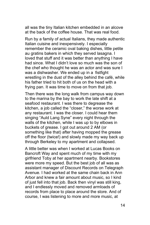all was the tiny Italian kitchen embedded in an alcove at the back of the coffee house. That was real food.

Run by a family of actual Italians, they made authentic Italian cuisine and inexpensively. I especially remember the ceramic oval baking dishes, little petite au gratins bakers in which they served lasagna. I loved that stuff and it was better than anything I have had since. What I didn't love so much was the son of the chef who thought he was an actor and was sure I was a dishwasher. We ended up in a fistfight wrestling in the dust of the alley behind the café, while his father tried to hit both of us on the head with a frying pan. It was time to move on from that job.

Then there was the long walk from campus way down to the marina by the bay to work the late shift at a seafood restaurant. I was there to degrease the kitchen, a job called the "closer," the worse work at any restaurant. I was the closer. I could hear them singing "Auld Lang Syne" every night through the walls of the kitchen, while I was up to by elbows in buckets of grease. I got out around 2 AM (or something like that) after having mopped the grease off the floor (twice!) and slowly made my way back up through Berkeley to my apartment and collapsed.

A little better was when I worked at Lucas Books on Bancroft Way and spent much of my time with my girlfriend Toby at her apartment nearby. Bookstores were more my speed. But the best job of all was as assistant manager of Discount Records on Telegraph Avenue. I had worked at the same chain back in Ann Arbor and knew a fair amount about music, so I kind of just fell into that job. Back then vinyl was still king, and I endlessly moved and removed armloads of records from place to place around the store. And of course, I was listening to more and more music, at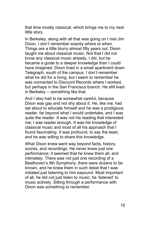that time mostly classical, which brings me to my next little story.

In Berkeley, along with all that was going on I met Jim Dixon, I don't remember exactly where or when. Things are a little blurry almost fifty years out. Dixon taught me about classical music. Not that I did not know any classical music already, I did, but he became a guide to a deeper knowledge than I could have imagined. Dixon lived in a small apartment down Telegraph, south of the campus. I don't remember what he did for a living, but I seem to remember he was connected to Discount Records where I worked, but perhaps in the San Francisco branch. He still lived in Berkeley -- something like that.

And I also had to be somewhat careful, because Dixon was gay and not shy about it. He, like me, had set about to educate himself and he was a prodigious reader, far beyond what I would undertake, and I was quite the reader. It was not his reading that interested me; I was reader enough. It was his knowledge of classical music and most of all his approach that I found fascinating. It was profound, to say the least, and he was willing to share this knowledge.

What Dixon knew went way beyond facts, history, scores, and recordings. He never knew just one performance; it seemed that he knew them all, and intimately. There was not just one recording of a Beethoven's 9th Symphony, there were dozens to be known, and he knew them in such detail that I was initiated just listening to him expound. Most important of all, he did not just listen to music; he 'listened' to music actively. Sitting through a performance with Dixon was something to remember.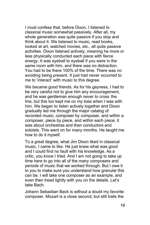I must confess that, before Dixon, I listened to classical music somewhat passively. After all, my whole generation was quite passive if you stop and think about it. We listened to music, read books, looked at art, watched movies, etc., all quite passive activities. Dixon listened actively, meaning he more or less physically conducted each piece with fierce energy. It was eyeball to eyeball if you were in the same room with him, and there was no distraction. You had to be there 100% of the time. There was no avoiding being present. It just had never occurred to me to 'interact' with music to this degree.

We became good friends. As for his gayness, I had to be very careful not to give him any encouragement, and he was gentleman enough never to cross the line, but this too kept me on my toes when I was with him. We began to listen actively together and Dixon gradually led me through the major catalog of recorded music, composer by composer, and within a composer, piece by piece, and within each piece, it was about orchestras and then conductors and soloists. This went on for many months. He taught me how to do it myself.

To a great degree, what Jim Dixon liked in classical music, I came to like. He just knew what was good and I could find no fault with his knowledge. As a critic, you know I tried. And I am not going to take up time here to go into all of the many composers and periods of music that we worked through. But I owe it to you to make sure you understand how granular this can be. I will take one composer as an example, and even then tread lightly with you on the details. Let's take Bach.

Johann Sebastian Back is without a doubt my favorite composer. Mozart is a close second, but still trails the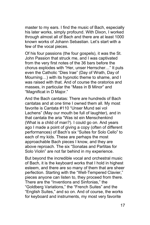master to my ears. I find the music of Bach, especially his later works, simply profound. With Dixon, I worked through almost all of Bach and there are at least 1000 known works of Johann Sebastian. Let's start with a few of the vocal pieces.

Of his four passions (the four gospels), it was the St. John Passion that struck me, and I was captivated from the very first notes of the 36 bars before the chorus explodes with "Her, unser Herrscher…" It puts even the Catholic "Dies Irae" (Day of Wrath, Day of Mourning…) with its hypnotic theme to shame, and I was raised with that. And of course the oratorios and masses, in particular the "Mass in B Minor" and "Magnificat in D Major."

And the Bach cantatas: There are hundreds of Bach cantatas and at one time I owned them all. My most favorite is Cantata #110 "Unser Mund sei vol Lachens" (May our mouth be full of laughter), and in that cantata the aria "Was ist ein Menschenkind (What is a child of man?). I could go on. And years ago I made a point of giving a copy (often of different performances) of Bach's six "Suites for Solo Cello" to each of my kids. These are perhaps the most approachable Bach pieces I know, and they are above reproach. The six "Sonatas and Partitas for Solo Violin" are not far behind in my experience.

But beyond the incredible vocal and orchestral music of Bach, it is the keyboard works that I hold in highest esteem, and there are so many of them that are sheer perfection. Starting with the "Well-Tempered Clavier," pieces anyone can listen to, they proceed from there. There are the "Inventions and Sinfonias," the "Goldberg Variations," the "French Suites" and the "English Suites," and so on. And of course, the works for keyboard and instruments, my most very favorite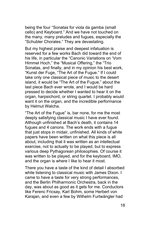being the four "Sonatas for viola da gamba (small cello) and Keyboard." And we have not touched on the many, many preludes and fugues, especially the "Schubler Chorales." They are devastating.

But my highest praise and deepest infatuation is reserved for a few works Bach did toward the end of his life, in particular the "Canonic Variations on 'Vom Himmel Hoch," the "Musical Offering," the "Trio Sonatas, and finally, and in my opinion his best work, "Kunst der Fuge, "The Art of the Fugue." If I could take only one classical piece of music to the desert island, it would be "The Art of the Fugue," about the last piece Bach ever wrote, and I would be hard pressed to decide whether I wanted to hear it on the organ, harpsichord, or string quartet. I probably would want it on the organ, and the incredible performance by Helmut Walcha.

"The Art of the Fugue" is, bar none, for me the most deeply satisfying classical music I have ever found. Although unfinished at Bach's death, it contains 14 fugues and 4 canons. The work ends with a fugue that just stops in midair, unfinished. All kinds of white papers have been written on what this piece is all about, including that it was written as an intellectual exercise, not to actually to be played, but to express various deep Pythagorean philosophies. Of course it was written to be played, and for the keyboard, IMO, and the organ is where I like to hear it most.

There you have a taste of the kind of detail I absorbed while listening to classical music with James Dixon. I came to have a taste for very strong performances, and the Berlin Philharmonic Orchestra, back in the day, was about as good as it gets for me. Conductors like Ferenc Fricsay, Karl Bohm, some Herbert von Karajan, and even a few by Wilhelm Furtwängler had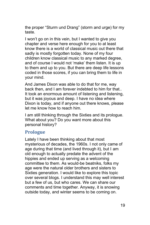the proper "Sturm und Drang" (storm and urge) for my taste.

I won't go on in this vein, but I wanted to give you chapter and verse here enough for you to at least know there is a world of classical music out there that sadly is mostly forgotten today. None of my four children know classical music to any marked degree, and of course I would not 'make' them listen. It is up to them and up to you. But there are deep life lessons coded in those scores, if you can bring them to life in your mind.

And James Dixon was able to do that for me, way back then, and I am forever indebted to him for that.. It took an enormous amount of listening and listening, but it was joyous and deep. I have no idea where Dixon is today, and if anyone out there knows, please let me know how to reach him.

I am still thinking through the Sixties and its prologue. What about you? Do you want more about this personal history?

## <span id="page-18-0"></span>**Prologue**

Lately I have been thinking about that most mysterious of decades, the 1960s. I not only came of age during that time (and lived through it), but I am old enough to actually predate the advent of the hippies and ended up serving as a welcoming committee to them. As would-be beatniks, folks my age were the natural older brothers and sisters to Sixties generation. I would like to explore this topic over several blogs. I understand this may well interest but a few of us, but who cares. We can share our comments and time together. Anyway, it is snowing outside today, and winter seems to be coming on.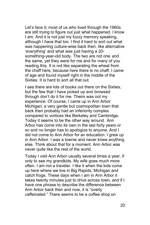Let's face it; most of us who lived through the 1960s are still trying to figure out just what happened. I know I am. And it is not just my fuzzy memory speaking, although I have that too. I find it hard to sort out what was happening culture-wise back then, like alternative 'everything' and what was just having a 20 something-year-old body. The two are not one and the same, yet they were for me and for many of you reading this. It is not like separating the wheat from the chaff here, because here there is no chaff. I came of age and found myself right in the middle of the Sixties. It is hard to sort all that out.

I see there are lots of books out there on the Sixties, but the few that I have picked up and browsed through don't do it for me. Theirs was not my experience. Of course, I came up in Ann Arbor Michigan, a very gentle but cosmopolitan town that back then probably had an inferiority complex compared to vortices like Berkeley and Cambridge. Today it seems to be the other way around. Ann Arbor has come into its own in the last forty years or so and no longer has to apologize to anyone. And I did not come to Ann Arbor for an education. I grew up in Ann Arbor. I was a townie and never knew anything else. Think about that for a moment. Ann Arbor was never quite like the rest of the world.

Today I visit Ann Arbor usually several times a year, if only to see my grandkids. My wife goes much more often. I am not a traveler. I like it when the kids come up here where we live in Big Rapids, Michigan and catch frogs. These days when I am in Ann Arbor it takes twenty minutes just to drive across town, and if I have one phrase to describe the difference between Ann Arbor back then and now, it is "overly caffeinated." There seems to be a coffee shop on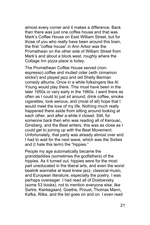almost every corner and it makes a difference. Back then there was just one coffee house and that was Mark's Coffee House on East William Street, but for those of you who really have been around this town, the first "coffee house" in Ann Arbor was the Promethean on the other side of William Street from Mark's and about a block west, roughly where the Cottage Inn pizza place is today.

The Promethean Coffee House served (nonespresso) coffee and mulled cider (with cinnamon sticks!) and played jazz and old Shelly Berman comedy albums. Once in a while folksingers like Al Young would play there. This must have been in the later 1950s or very early in the 1960s. I went there as often as I could to just sit around, drink coffee, smoke cigarettes, look serious, and (most of all) hope that I would meet the love of my life. Nothing much really happened there aside from sitting around looking at each other, and after a while it closed. Still, for someone back then who was reading all of Kerouac, Ginsberg, and the Beat writers, this was as close as I could get to joining up with the Beat Movement. Unfortunately, that party was already almost over and I had to wait for the next wave, which was the Sixties and (I hate this term) the "hippies."

People my age automatically became the granddaddies (sometimes the godfathers) of the hippies. As it turned out, hippies were for the most part uneducated in the liberal arts, and even the worst beatnik wannabe at least knew jazz, classical music, and European literature, especially the poetry. I was perhaps overeager. I had read all of Dostoevsky (some 53 books), not to mention everyone else, like Sartre, Kierkegaard, Goethe, Proust, Thomas Mann, Kafka, Rilke, and the list goes on and on. I even read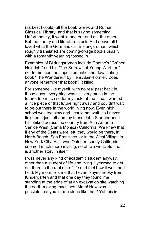(as best I could) all the Loeb Greek and Roman Classical Library, and that is saying something. Unfortunately, it went in one ear and out the other. But the poetry and literature stuck. And above all I loved what the Germans call Bildungsroman, which roughly translated are coming-of-age books usually with a romantic yearning tossed in.

Examples of Bildungsroman include Goethe's "Grüner Heinrich," and his "The Sorrows of Young Werther," not to mention the super-romantic and devastating book "The Wanderer," by Heni Alain-Fornier. Does anyone remember that book? It killed!

For someone like myself, with no real past back in those days, everything was still very much in the future, too much so for my taste at the time. I wanted a little piece of that future right away and couldn't wait to be out there in the world living now. Even high school was too slow and I could not wait, so I never finished. I just left and my friend John Stanger and I hitchhiked across the country from Ann Arbor to Venice West (Santa Monica) California. We knew that if any of the Beats were left, they would be there, in North Beach, San Francisco, or in the West Village in New York City. As it was October, sunny California seemed much more inviting, so off we went. But that is another story in itself.

I was never any kind of academic student anyway, other than a student of life and living. I yearned to get out there in the real dirt of life and feel how it was, and I did. My mom tells me that I even played hooky from Kindergarten and that one day they found me standing at the edge of at an excavation site watching the earth-moving machines. Mom! How was it possible that you let me alone like that? Yet this is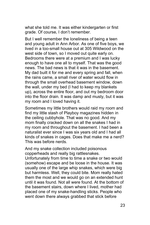what she told me. It was either kindergarten or first grade. Of course, I don't remember.

But I well remember the loneliness of being a teen and young adult in Ann Arbor. As one of five boys, we lived in a too-small house out at 305 Wildwood on the west side of town, so I moved out quite early on. Bedrooms there were at a premium and I was lucky enough to have one all to myself. That was the good news. The bad news is that it was in the basement. My dad built it for me and every spring and fall, when the rains came, a small river of water would flow in through the small overhead basement window, down the wall, under my bed (I had to keep my blankets up), across the entire floor, and out my bedroom door into the floor drain. It was damp and musty, but it was my room and I loved having it.

Sometimes my little brothers would raid my room and find my little stash of Playboy magazines hidden in the ceiling cubbyhole. That was no good. And my mom finally cracked down on all the snakes I had in my room and throughout the basement. I had been a naturalist ever since I was six years old and I had all kinds of snakes in cages. Does that make me a nerd? This was before nerds.

And my snake collection included poisonous copperheads and really big rattlesnakes.

Unfortunately from time to time a snake or two would (somehow) escape and be loose in the house. It was usually one of the large whip snakes, which were big but harmless. Well, they could bite. Mom really hated them the most and we would go on an extended hunt until it was found. Not all were found. At the bottom of the basement stairs, down where I lived, mother had placed one of my snake-handling sticks. People who went down there always grabbed that stick before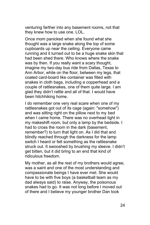venturing farther into any basement rooms, not that they knew how to use one. LOL.

Once mom panicked when she found what she thought was a large snake along the top of some cupboards up near the ceiling. Everyone came running and it turned out to be a huge snake skin that had been shed there. Who knows where the snake was by then. If you really want a scary thought, imagine my two-day bus ride from Dallas, Texas to Ann Arbor, while on the floor, between my legs, that coated card-board like container was filled with snakes in cloth bags, including a copperhead and a couple of rattlesnakes, one of them quite large. I am glad they didn't rattle and all of that. I would have been hitchhiking home.

I do remember one very real scare when one of my rattlesnakes got out of its cage (again: "somehow") and was sitting right on the pillow next to my bed when I came home. There was no overhead light in my makeshift room, but only a lamp by the bedside. I had to cross the room in the dark (basement, remember?) to turn that light on. As I did that and blindly reached through the darkness for the lamp switch I heard or felt something as the rattlesnake struck out. It swooshed by brushing my sleeve. I didn't get bitten, but it did bring to an end that kind of ridiculous freedom.

My mother, as all the rest of my brothers would agree, was a saint and one of the most understanding and compassionate beings I have ever met. She would have to be with five boys (a basketball team as my dad always said) to raise. Anyway, the poisonous snakes had to go. It was not long before I moved out of there and I believe my younger brother Dan took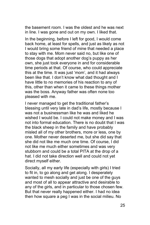the basement room. I was the oldest and he was next in line. I was gone and out on my own. I liked that.

In the beginning, before I left for good, I would come back home, at least for spells, and just as likely as not I would bring some friend of mine that needed a place to stay with me. Mom never said no, but like one of those dogs that adopt another dog's puppy as her own, she just took everyone in and for considerable time periods at that. Of course, who could appreciate this at the time. It was just 'mom', and it had always been like that. I don't know what dad thought and I have little to no memories of his reaction to any of this, other than when it came to these things mother was the boss. Anyway father was often none too pleased with me.

I never managed to get the traditional father's blessing until very late in dad's life, mostly because I was not a businessman like he was and liked he wished I would be. I could not make money and I was not into formal education. There is no doubt that I was the black sheep in the family and have probably misled all of my other brothers, more or less, one by one. Mother never deserted me, but she did say that she did not like me much one time. Of course, I did not like me much either sometimes and was very stubborn and could be a total PITA at the drop of a hat. I did not take direction well and could not yet direct myself either.

Socially, all my early life (especially with girls) I tried to fit in, to go along and get along. I desperately wanted to mesh socially and just be one of the guys and most of all to appear attractive and desirable to any of the girls, and in particular to those chosen few. But that never really happened either. I had no idea then how square a peg I was in the social milieu. No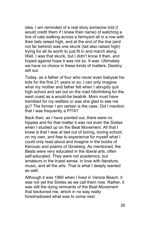idea. I am reminded of a real story someone told (I would credit them if I knew their name) of watching a line of cats walking across a farmyard all in a row with their tails raised high, and at the end of the line (and not far behind) was one skunk (tail also raised high) trying for all its worth to just fit in and march along. Well, I was that skunk, but I didn't know it then, and hoped against hope it was not so. It was. Ultimately we have no choice in these kinds of matters. Destiny will out.

Today, as a father of four who never even babysat his kids for the first 21 years or so, I can only imagine what my mother and father felt when I abruptly quit high school and set out on the road hitchhiking for the west coast as a would-be beatnik. Mom must have trembled for my welfare or was she glad to see me go? The former I am certain is the case. Did I mention that I was frequently a PITA?

Back then, as I have pointed out, there were no hippies and for that matter it was not even the Sixties when I studied up on the Beat Movement. All that I knew is that I was at last out of boring, boring school, on my own, and free to experience for myself what I could only read about and imagine in the books of Kerouac and poems of Ginsberg. As mentioned, the Beats were very educated in the liberal arts, often self-educated. They were not academics, but amateurs in the truest sense, in love with literature, music, and all the arts. That is what I deeply wanted as well.

Although it was 1960 when I lived in Venice Beach, it was not yet the Sixties as we call them now. Rather, it was still the dying remnants of the Beat Movement that beckoned me, which in no way really foreshadowed what was to come next.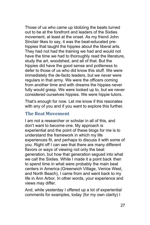Those of us who came up idolizing the beats turned out to be at the forefront and leaders of the Sixties movement, at least at the onset. As my friend John Sinclair likes to say, it was the beat-educated prehippies that taught the hippies about the liberal arts. They had not had the training we had and would not have the time we had to thoroughly read the literature, study the art, woodshed, and all of that. But the hippies did have the good sense and politeness to defer to those of us who did know this stuff. We were immediately the de-facto leaders, but we never were regulars in that army. We were the officers coming from another time and with dreams the hippies never fully would grasp. We were looked up to, but we never considered ourselves hippies. We were hippie tutors.

That's enough for now. Let me know if this resonates with any of you and if you want to explore this further.

## <span id="page-26-0"></span>**The Beat Movement**

I am not a researcher or scholar in all of this, and don't want to become one. My approach is experiential and the point of these blogs for me is to understand the framework in which my life experiences fit, and perhaps to discuss it with some of you. Right off I can see that there are many different flavors or ways of viewing not only the beat generation, but how that generation segued into what we call the Sixties. While I made it a point back then to spend time in what were probably the main beat centers in America (Greenwich Village, Venice West, and North Beach), I came from and went back to my life in Ann Arbor. In other words, your experience and views may differ.

And, while yesterday I offered up a lot of experiential comments for examples, today (for my own clarity) I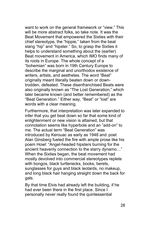want to work on the general framework or "view." This will be more abstract folks, so take note. It was the Beat Movement that empowered the Sixties with their chief stereotype, the "hippie," taken from the beat slang "hip" and "hipster." So, to grasp the Sixties it helps to understand something about the (earlier) Beat movement in America, which IMO finds many of its roots in Europe. The whole concept of a "bohemian" was born in 19th Century Europe to describe the marginal and unorthodox existence of writers, artists, and aesthetes. The word "Beat" originally meant literally beaten down or downtrodden, defeated. These disenfranchised Beats were also originally known as "The Lost Generation," which later became known (and better remembered) as the "Beat Generation." Either way, "Beat" or "lost" are words with a clear meaning.

Furthermore, that interpretation was later expanded to infer that you get beat down so far that some kind of enlightenment or new vision is attained, but that connotation seems like hyperbole and an "add-on" to me. The actual term "Beat Generation" was introduced by Kerouac as early as 1948 and poet Alan Ginsberg fueled the fire with ample prose like his poem Howl: "Angel-headed hipsters burning for the ancient heavenly connection to the starry dynamo…" When the Sixties began, the beat movement had mostly devolved into commercial stereotypes replete with bongos, black turtlenecks, books, berets, sunglasses for guys and black leotards, no makeup, and long black hair hanging straight down the back for gals.

By that time Elvis had already left the building, if he had ever been there in the first place. Since I personally never really found the quintessential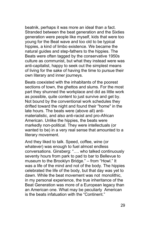beatnik, perhaps it was more an ideal than a fact. Stranded between the beat generation and the Sixties generation were people like myself, kids that were too young for the Beat wave and too old to be typical hippies, a kind of limbo existence. We became the natural guides and step-fathers to the hippies. The Beats were often tagged by the conservative 1950s culture as communist, but what they instead were was anti-capitalist, happy to seek out the simplest means of living for the sake of having the time to pursue their own literary and inner journeys.

Beats coexisted with the inhabitants of the poorest sections of town, the ghettos and slums. For the most part they shunned the workplace and did as little work as possible, quite content to just survive and get by. Not bound by the conventional work schedules they drifted toward the night and found their "home" in the late hours. The beats were (above all) antimaterialistic, and also anti-racist and pro-African American. Unlike the hippies, the beats were markedly non-political. They were intellectuals (or wanted to be) in a very real sense that amounted to a literary movement.

And they liked to talk. Speed, coffee, wine (or whatever) was enough to fuel almost endless conversations. Ginsberg: "…. who talked continuously seventy hours from park to pad to bar to Bellevue to museum to the Brooklyn Bridge." – from "Howl." It was a life of the mind and not of the body. The hippies celebrated the life of the body, but that day was yet to dawn. While the beat movement was not monolithic, in my personal experience, the true inheritance of the Beat Generation was more of a European legacy than an American one. What may be peculiarly American is the beats infatuation with the "Continent."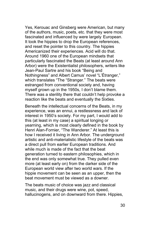Yes, Kerouac and Ginsberg were American, but many of the authors, music, poets, etc. that they were most fascinated and influenced by were largely European. It took the hippies to drop the European references, and reset the pointer to this country. The hippies Americanized their experiences. Acid will do that. Around 1960 one of the European mindsets that particularly fascinated the Beats (at least around Ann Arbor) were the Existentialist philosophers, writers like Jean-Paul Sartre and his book "Being and Nothingness" and Albert Camus' novel "L'Étranger," which translates "The "Stranger." The beats were estranged from conventional society and, having myself grown up in the 1950s, I don't blame them. There was a sterility there that couldn't help provoke a reaction like the beats and eventually the Sixties.

Beneath the intellectual concerns of the Beats, in my experience, was an ennui, a restlessness and lack of interest in 1950's society. For my part, I would add to this (at least in my case) a spiritual longing or yearning, which is most clearly defined in the book by Henri Alan-Fornier, "The Wanderer." At least this is how I received it living in Ann Arbor. The underground artistic and anti-materialistic lifestyle of the beats was a direct pull from earlier European traditions. And while much is made of the fact that the beat generation turned to eastern philosophies, which in the end was only somewhat true. They pulled even more (at least early on) from the darker side of the European world view after two world wars. If the hippie movement can be seen as an upper, then the beat movement must be viewed as a downer.

The beats music of choice was jazz and classical music, and their drugs were wine, pot, speed, hallucinogens, and on downward from there. Hippies,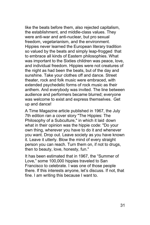like the beats before them, also rejected capitalism, the establishment, and middle-class values. They were anti-war and anti-nuclear, but pro sexual freedom, vegetarianism, and the environment. Hippies never learned the European literary tradition so valued by the beats and simply leap-frogged that to embrace all kinds of Eastern philosophies. What was important to the Sixties children was peace, love, and individual freedom. Hippies were not creatures of the night as had been the beats, but of the day and sunshine. Take your clothes off and dance. Street theater, rock and folk music were embraced, with extended psychedelic forms of rock music as their anthem. And everybody was invited. The line between audience and performers became blurred; everyone was welcome to exist and express themselves. Get up and dance!

A Time Magazine article published in 1967, the July 7th edition ran a cover story "The Hippies: The Philosophy of a Subculture," in which it laid down what in their opinion was the hippie code: "Do your own thing, wherever you have to do it and whenever you want. Drop out. Leave society as you have known it. Leave it utterly. Blow the mind of every straight person you can reach. Turn them on, if not to drugs, then to beauty, love, honesty, fun."

It has been estimated that in 1967, the "Summer of Love," some 100,000 hippies traveled to San Francisco to celebrate. I was one of those people there. If this interests anyone, let's discuss. If not, that fine. I am writing this because I want to.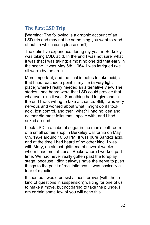## <span id="page-31-0"></span>**The First LSD Trip**

[Warning: The following is a graphic account of an LSD trip and may not be something you want to read about, in which case please don't]

The definitive experience during my year in Berkeley was taking LSD, acid. In the end I was not sure what it was that I was taking; almost no one did that early in the scene. It was May 6th, 1964. I was intrigued (we all were) by the drug.

More important, and the final impetus to take acid, is that I had reached a point in my life (a very tight place) where I really needed an alternative view. The stories I had heard were that LSD could provide that, whatever else it was. Something had to give and in the end I was willing to take a chance. Still, I was very nervous and worried about what I might do if I took acid, lost control, and then: what? I had no idea and neither did most folks that I spoke with, and I had asked around.

I took LSD in a cube of sugar in the men's bathroom of a small coffee shop in Berkeley California on May 6th, 1964 around 10:30 PM. It was pure Sandoz acid, and at the time I had heard of no other kind. I was with Mary, an almost-girlfriend of several weeks whom I had met at Lucas Books where I worked part time. We had never really gotten past the foreplay stage, because I didn't always have the nerve to push things to the point of real intimacy. It was basically a fear of rejection.

It seemed I would persist almost forever (with these kind of questions in suspension) waiting for one of us to make a move, but not daring to take the plunge. I am certain some few of you will echo this.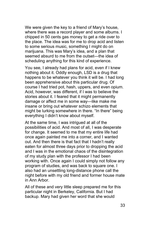We were given the key to a friend of Mary's house, where there was a record player and some albums. I chipped in 50 cents gas money to get a ride over to the place. The idea was for me to drop acid and listen to some serious music, something I might do on marijuana. This was Mary's idea, and a plan that seemed absurd to me from the outset—the idea of scheduling anything for this kind of experience.

You see, I already had plans for acid, even if I knew nothing about it. Oddly enough, LSD is a drug that happens to be whatever you think it will be. I had long been apprehensive about this particular drug. Of course I had tried pot, hash, uppers, and even opium. Acid, however, was different, if I was to believe the stories about it. I feared that it might permanently damage or affect me in some way—like make me insane or bring out whatever schizo elements that might be lurking somewhere in there. "In there" being everything I didn't know about myself.

At the same time, I was intrigued at all of the possibilities of acid. And most of all, I was desperate for change. It seemed to me that my entire life had once again painted me into a corner, and I wanted out. And then there is that fact that I hadn't really eaten for almost three days prior to dropping the acid and I was in the emotional chaos of the disintegration of my study plan with the professor I had been working with. Once again I could simply not follow any program of studies, and was back to square one. I also had an unsettling long-distance phone call the night before with my old friend and former house mate in Ann Arbor.

All of these and very little sleep prepared me for this particular night in Berkeley, California. But I had backup. Mary had given her word that she would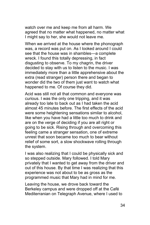watch over me and keep me from all harm. We agreed that no matter what happened, no matter what I might say to her, she would not leave me.

When we arrived at the house where the phonograph was, a record was put on. As I looked around I could see that the house was in shambles—a complete wreck. I found this totally depressing, in fact disgusting to observe. To my chagrin, the driver decided to stay with us to listen to the music. I was immediately more than a little apprehensive about the extra (read stranger) person there and began to wonder did the two of them just want to watch what happened to me. Of course they did.

Acid was still not all that common and everyone was curious. I was the only one tripping, and it was already too late to back out as I had taken the acid almost 45 minutes before. The first effects of the acid were some heightening sensations similar to alcohol, like when you have had a little too much to drink and are on the verge of deciding if you are all right or going to be sick. Rising through and overcoming this feeling came a stranger sensation, one of extreme unrest that soon became too much to bear without relief of some sort, a slow shockwave rolling through the system.

I was also realizing that I could be physically sick and so stepped outside. Mary followed. I told Mary privately that I wanted to get away from the driver and out of this house. By that time I was realizing that this experience was not about to be as gross as the programmed music that Mary had in mind for me.

Leaving the house, we drove back toward the Berkeley campus and were dropped off at the Café Mediterranian on Telegraph Avenue, where I used to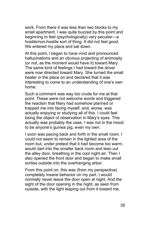work. From there it was less than two blocks to my small apartment. I was quite buzzed by this point and beginning to feel (psychologically) very peculiar—a hostile/non-hostile sort of thing. It did not feel good. We entered my place and sat down.

At this point, l began to have vivid and pronounced hallucinations and an obvious projecting of animosity (or not, as the moment would have it) toward Mary. The same kind of feelings I had toward the driver were now directed toward Mary. She turned the small heater in the place on and declared that it was interesting to come to an understanding of one's own home.

Such a comment was way too crude for me at that point. These were not welcome words and triggered the reaction that Mary had somehow planned or trapped me into facing myself, and, worse, was actually enjoying or studying all of this. I could feel being the object of observation in Mary's eyes. This actually was probably the case. I was not in the mood to be anyone's guinea pig, even my own.

I soon was pacing back and forth in the small room. I could not seem to remain in the lighted area of the room but, under pretext that it had become too warm, would dart into the smaller back room and lean out the alley door, breathing in the cool night air. Then I also opened the front door and began to make small sorties outside into the overhanging arbor.

From this point on, this was (from my perspective) completely insane behavior on my part. I would normally never leave the door open at night. And the sight of the door opening in the night, as seen from outside, with the light leaping out from it toward me,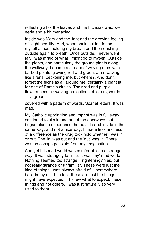reflecting all of the leaves and the fuchsias was, well, eerie and a bit menacing.

Inside was Mary and the light and the growing feeling of slight hostility. And, when back inside I found myself almost holding my breath and then dashing outside again to breath. Once outside, I never went far. I was afraid of what I might do to myself. Outside the plants, and particularly the ground plants along the walkway, became a stream of waving arms with barbed points, glowing red and green, arms waving like sirens, beckoning me, but where?. And don't forget the fuchsias all around me, certainly a plant fit for one of Dante's circles. Their red and purple flowers became waving projections of letters, words — a ground

covered with a pattern of words. Scarlet letters. It was mad.

My Catholic upbringing and imprint was in full sway. I continued to slip in and out of the doorways, but I began also to experience the outside and inside in the same way, and not a nice way. It made less and less of a difference as the drug took hold whether I was in or out. The 'in' was out and the 'out' was in. There was no escape possible from my imagination.

And yet this mad world was comfortable in a strange way. It was strangely familiar. It was 'my' mad world. Nothing seemed too strange. Frightening? Yes, but not really strange or unfamiliar. These were just the kind of things I was always afraid of… somewhere back in my mind. In fact, these are just the things I might have expected, if I knew what to expect, these things and not others. I was just naturally so very used to them.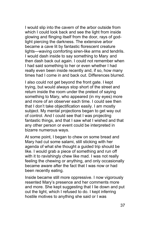I would slip into the cavern of the arbor outside from which I could look back and see the light from inside glowing and flinging itself from the door, rays of godlight piercing the darkness. The extensive arbor became a cave lit by fantastic florescent creature lights—waving comforting siren-like arms and tendrils. I would dash inside to say something to Mary and then dash back out again. I could not remember when I had said something to her or even whether I had really even been inside recently and, if so, how many times had I come in and back out. Differences blurred.

I also could not get beyond the front gate. I kept trying, but would always stop short of the street and return inside the room under the pretext of saying something to Mary, who appeared (in my eyes) more and more of an observer each time. I could see then that I don't take objectification easily. I am mostly subject. My mental projections began to get way out of control. And I could see that I was projecting fantastic things, and that I saw what I wished and that any other person or event could be interpreted in bizarre numerous ways.

At some point, I began to chew on some bread and Mary had cut some salami, still sticking with her agenda of what she thought a guided trip should be like. I would grab a piece of something and run off with it to ravishingly chew like mad. I was not really feeling the chewing or anything, and only occasionally became aware after the fact that I was now or had been recently eating.

Inside became still more oppressive. I now vigorously resented Mary's presence and her comments more and more. She kept suggesting that I lie down and put out the light, which I refused to do. I kept inferring hostile motives to anything she said or I was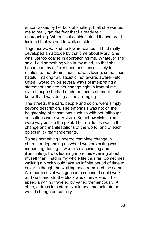embarrassed by her lack of subtlety. I felt she wanted me to really get the fear that I already felt approaching. When I just couldn't stand it anymore, I insisted that we had to walk outside.

Together we walked up toward campus. I had really developed an attitude by that time about Mary. She was just too coarse in approaching me. Whatever she said, I did something with in my mind, so that she became many different persons successively in relation to me. Sometimes she was loving, sometimes hateful, making fun, sadistic, not aware, aware—etc. Often I would try on several ways of interpreting a statement and see her change right in front of me, even though she had made but one statement. I also knew that I was doing all the arranging.

The streets, the cars, people and colors were simply beyond description. The emphasis was not on the heightening of sensations such as with pot (although sensations were very vivid). Somehow vivid colors were way beside the point. The real focus was in the change and manifestations of the world, and of each object in it - rearrangements.

To see something undergo complete change in character depending on what I was projecting was indeed frightening. It was also fascinating and illuminating. I was learning more this evening about myself than I had in my whole life thus far. Sometimes walking a block would take an infinite period of time to cover, although the walking pace remained the same. At other times, it was gone in a second. I could walk and walk and still the block would never end. The speed anything traveled by varied tremendously. A shoe, a dress in a store, would become animate or would change personality.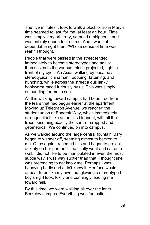The five minutes it took to walk a block or so in Mary's time seemed to last, for me, at least an hour. Time was simply very arbitrary, seemed ambiguous, and was entirely dependent on me. And I was not dependable right then. "Whose sense of time was real?" I thought.

People that were passed in the street tended immediately to become stereotypes and adjust themselves to the various roles I projected, right in front of my eyes. An Asian walking by became a stereotypical 'chinaman', bobbing, fattening, and hunching, while across the street a dull lanky bookworm raced furiously by us. This was simply astounding for me to see.

All this walking toward campus had been free from the fears that had begun earlier at the apartment. Moving up Telegraph Avenue, we reached the student union at Bancroft Way, which immediately arranged itself like an artist's blueprint, with all the trees becoming exactly the same—cropped and geometrical. We continued on into campus.

As we walked around the large central fountain Mary began to wander off, seeming almost to beckon to me. Once again I resented this and began to project anxiety on her part until she finally went and sat on a wall. I did not like to be manipulated in even the most subtle way. I was way subtler than that. I thought she was pretending to not know me. Perhaps I was behaving badly and didn't know it. Her face would appear to be like my own, but glowing a stereotyped boyish-girl look, foxily and cunningly leading me toward hell.

By this time, we were walking all over the inner Berkeley campus. Everything was fantastic.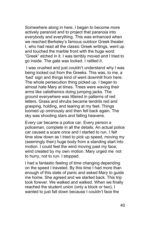Somewhere along in here, I began to become more actively paranoid and to project that paranoia into everybody and everything. This was enhanced when we reached Berkeley's famous outdoor Greek theater. I, who had read all the classic Greek writings, went up and touched the marble front with the huge word "Greek" etched in it. I was terribly moved and I tried to go inside. The gate was locked. I rattled it.

I was crushed and just couldn't understand why I was being locked out from the Greeks. This was, to me, a 'bad' sign and things kind of went downhill from here. The whole persecution thing picked up. I began to almost hate Mary at times. Trees were waving their arms like calisthenics doing jumping jacks. The ground everywhere was littered in patterns of red letters. Grass and shrubs became tendrils red and grasping, holding, and tearing at my feet. Things loomed up ominously and then fell back again. The sky was shooting stars and falling heavens.

Every car became a police car. Every person a policeman, complete in all the details. An actual police car caused a scare once and I started to run. I felt time slow down as I tried to pick up speed, moving my (seemingly then) huge body from a standing start into motion. I could feel the wind moving past my face, wind created by my own motion. Mary urged me not to hurry, not to run. I stopped.

I had a fantastic feeling of time changing depending on the speed I traveled. By this time I had more than enough of this state of panic and asked Mary to guide me home. She agreed and we started back. This trip took forever. We walked and walked. When we finally reached the student union (only a block or two), I wanted to just fall down because I couldn't face the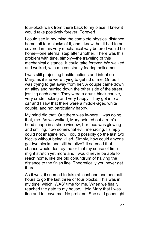four-block walk from there back to my place. I knew it would take positively forever. Forever!

I could see in my mind the complete physical distance home, all four blocks of it, and I knew that it had to be covered in this very mechanical way before I would be home—one eternal step after another. There was this problem with time, simply—the traveling of this mechanical distance. It could take forever. We walked and walked, with me constantly fearing policemen.

I was still projecting hostile actions and intent on Mary, as if she were trying to get rid of me. Or, as if I was trying to get away from her. A couple came down an alley and hurried down the other side of the street, jostling each other. They were a drunk black couple, very crude looking and very happy. They got into a car and I saw that there were a middle-aged white couple, and not particularly happy.

My mind did that. Out there was in-here. I was doing that, me. As we walked, Mary pointed out a ram's head shape in a shop window, her face was glowing and smiling, now somewhat evil, menacing. I simply could not imagine how I could possibly go the last two blocks without being killed. Simply, how could anyone get two blocks and still be alive? It seemed that chance would destroy me or that my sense of time might stretch yet more and I would never be able to reach home, like the old conundrum of halving the distance to the finish line. Theoretically you never get there.

As it was, it seemed to take at least one and one half hours to go the last three or four blocks. This was in my time, which 'WAS' time for me. When we finally reached the gate to my house, I told Mary that I was fine and to leave me. No problem. She said goodnight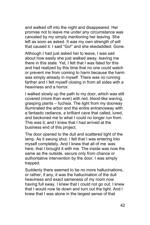and walked off into the night and disappeared. Her promise not to leave me under any circumstance was canceled by my simply mentioning her leaving. She left as soon as asked. It was my own strength of will that caused it. I said "Go!" and she skedaddled. Gone.

Although I had just asked her to leave, I was sad about how easily she just walked away, leaving me there in this state. Yet, I felt that I was fated for this and had realized by this time that no one could watch or prevent me from coming to harm because the harm was simply already in myself. There was no running farther and I felt myself closing in from all sides with a heaviness and a horror.

I walked slowly up the path to my door, which was still covered (more than ever) with red, blood-like waving, grasping plants – fuchsia. The light from my doorway illuminated the arbor and the entire entranceway with a fantastic radiance, a brilliant cave that called, lured, and beckoned me to what I could no longer run from. This was it, and I knew that I had arrived at the business end of this project.

The door opened to the dull and scattered light of the lamp. As it swung shut, I felt that I was entering into myself completely. And I knew that all of me was here, that I brought it with me. The inside was now the same as the outside, secure only from chance or authoritative intervention by the door. I was simply trapped.

Suddenly there seemed to be no more hallucinations, or rather, if any, it was the hallucination of the dull heaviness and exact sameness of my room now having full sway. I knew that I could not go out. I knew that I would now lie down and turn out the light. And I knew that I was alone in the largest sense of that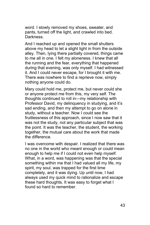word. I slowly removed my shoes, sweater, and pants, turned off the light, and crawled into bed. Darkness.

And I reached up and opened the small shutters above my head to let a slight light in from the outside alley. Then, lying there partially covered, things came to me all in one. I felt my aloneness. I knew that all the running and the fear, everything that happened during that evening, was only myself. I had witnessed it. And I could never escape, for I brought it with me. There was nowhere to find a reprieve now, simply nothing anyone could do.

Mary could hold me, protect me, but never could she or anyone protect me from this, my very self. The thoughts continued to roll in—my relationship with Professor David, my delinquency in studying, and it's sad ending, and then my attempt to go on alone in study, without a teacher. Now I could see the fruitlessness of this approach, since I now saw that it was not the study, not any particular subject that was the point. It was the teacher, the student, the working together, the mutual care about the work that made the difference.

I was overcome with despair. I realized that there was no one in the world who meant enough or could mean enough to help me if I could not even help myself. What, in a word, was happening was that the special something within me that I had valued all my life, my spirit, my soul, was trapped for the first time completely, and it was dying. Up until now, I had always used my quick mind to rationalize and escape these hard thoughts. It was easy to forget what I found so hard to remember.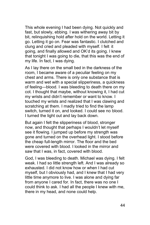This whole evening I had been dying. Not quickly and fast, but slowly, ebbing. I was withering away bit by bit, relinquishing hold after hold on the world. Letting it go. Letting it go on. Fear was fantastic. I clutched and clung and cried and pleaded with myself. I felt it going, and finally allowed and OK'd its going. I knew that tonight I was going to die, that this was the end of my life. In fact, I was dying.

As I lay there on the small bed in the darkness of the room, I became aware of a peculiar feeling on my chest and arms. There is only one substance that is warm and wet with a special slipperiness, a quickness of feeling—blood. I was bleeding to death there on my cot. I thought that maybe, without knowing it, I had cut my wrists and didn't remember or want to know. I touched my wrists and realized that I was clawing and scratching at them. I madly tried to find the lamp switch, turned it on, and looked. I could see no blood. I turned the light out and lay back down.

But again I felt the slipperiness of blood, stronger now, and thought that perhaps I wouldn't let myself see it flowing. I jumped up before my strength was gone and turned on the overhead light. I stood before the cheap full-length mirror. The floor and the bed were covered with blood. I looked in the mirror and saw that I was, in fact, covered with blood.

God, I was bleeding to death. Michael was dying. I felt weak. I had so little strength left. And I was already so exhausted. I did not know how or when I had cut myself, but I obviously had, and I knew that I had very little time anymore to live. I was alone and dying far from anyone I cared for. In fact, there was no one I could think to ask. I had all the people I knew with me, there in my head, and none could help.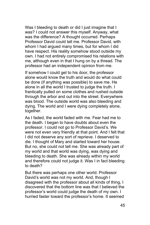Was I bleeding to death or did I just imagine that I was? I could not answer this myself. Anyway, what was the difference? A thought occurred. Perhaps Professor David could tell me. Professor David, with whom I had argued many times, but for whom I did have respect. His reality somehow stood outside my own. I had not entirely compromised his relations with me, although even in that I hung on by a thread. The professor had an independent opinion from me.

If somehow I could get to his door, the professor alone would know the truth and would do what could be done (if anything was possible) to save me. He alone in all the world I trusted to judge the truth. I frantically pulled on some clothes and rushed outside through the arbor and out into the street. Everywhere was blood. The outside world was also bleeding and dying. The world and I were dying completely alone, together.

As I faded, the world faded with me. Fear had me to the death. I began to have doubts about even the professor. I could not go to Professor David's. We were not even very friendly at that point. And I felt that I did not deserve any sort of reprieve. I deserved to die. I thought of Mary and started toward her house. But no, she could not tell me. She was already part of my world and that world was dying, was dying and bleeding to death. She was already within my world and therefore could not judge it. Was I in fact bleeding to death?

But there was perhaps one other world. Professor David's world was not my world. And, though I disagreed with the professor about all kinds of thing, I discovered that the bottom line was that I believed the professor's world could judge the death of my own. I hurried faster toward the professor's home. It seemed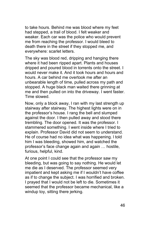to take hours. Behind me was blood where my feet had stepped, a trail of blood. I felt weaker and weaker. Each car was the police who would prevent me from reaching the professor. I would bleed to death there in the street if they stopped me, and everywhere: scarlet letters.

The sky was blood red, dripping and hanging there where it had been ripped apart. Plants and houses dripped and poured blood in torrents onto the street. I would never make it. And it took hours and hours and hours. A car behind me overtook me after an unbearable length of time, pulled across my path and stopped. A huge black man waited there grinning at me and then pulled on into the driveway. I went faster. Time slowed.

Now, only a block away, I ran with my last strength up stairway after stairway. The highest lights were on in the professor's house. I rang the bell and slumped against the door. I then pulled away and stood there trembling. The door opened. It was the professor. I stammered something. I went inside where I tried to explain. Professor David did not seem to understand. He of course had no idea what was happening. l told him I was bleeding, showed him, and watched the professor's face change again and again … hostile, furious, helpful, kind.

At one point I could see that the professor saw my bleeding, but was going to say nothing. He would let me die as I deserved. The professor seemed very impatient and kept asking me if I wouldn't have coffee as if to change the subject. I was horrified and broken. I prayed that I would not be left to die. Sometimes it seemed that the professor became mechanical, like a windup toy, sitting there jerking.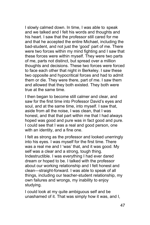I slowly calmed down. In time, I was able to speak and we talked and I felt his words and thoughts and his heart. I saw that the professor still cared for me and that he accepted the entire Michael, including the bad-student, and not just the 'good' part of me. There were two forces within my mind fighting and I saw that these forces were within myself. They were two parts of me, parts not distinct, but spread over a million thoughts and decisions. These two forces were forced to face each other that night in Berkeley. I saw these two opposite and hypocritical forces and had to admit them or die. They were there, part of me. I saw them and allowed that they both existed. They both were true at the same time.

I then began to become still calmer and clear, and saw for the first time into Professor David's eyes and soul, and at the same time, into myself. I saw that, aside from all the noise, I was clean, that I was honest, and that that part within me that I had always hoped was good and pure was in fact good and pure. I could see that I was a real and good person, one with an identity, and a fine one.

I felt as strong as the professor and looked unerringly into his eyes. I was myself for the first time. There was a real me and I 'was' that, and it was good. My self was a clear and a strong, tough thing. Indestructible. I was everything I had ever dared dream or hoped to be. I talked with the professor about our working relationship and I felt honest and clean—straight-forward. I was able to speak of all things, including our teacher-student relationship, my own failures and wrongs, my inability to enjoy studying.

I could look at my quite ambiguous self and be unashamed of it. That was simply how it was, and I,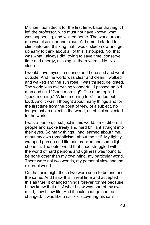Michael, admitted it for the first time. Later that night I left the professor, who must not have known what was happening, and walked home. The world around me was also clear and clean. At home, I started to climb into bed thinking that I would sleep now and get up early to think about all of this. I stopped. No, that was what I always did, trying to save time, conserve time and energy, missing all the rewards. No. No sleep.

I would have myself a sunrise and I dressed and went outside. And the world was clear and clean. I walked and walked and the sun rose. I was thrilled, delighted. The world was everything wonderful. I passed an old man and said "Good morning!". The man replied "good morning." "A fine morning too," I added out loud. And it was. I thought about many things and for the first time from the point of view of a subject, no longer just an object in the world, an object subjected to the world.

I was a person, a subject in this world. I met different people and spoke freely and hard brilliant straight into their eyes. So many things I had learned about time, about my own romanticism, about the self. My tightly wrapped person and life had cracked and some light shone in. The outer world that I had struggled with, the world of hard persons and ugliness was found to be none other than my own mind, my particular world. There were not two worlds, my personal view and the external world.

On that acid night these two were seen to be one and the same. And I saw this in real time and accepted this as true. It changed things forever for me because I now knew that all of what I saw was part of my own mind, how I saw life. And it could change and be changed. It was like a sailor discovering his sails. I